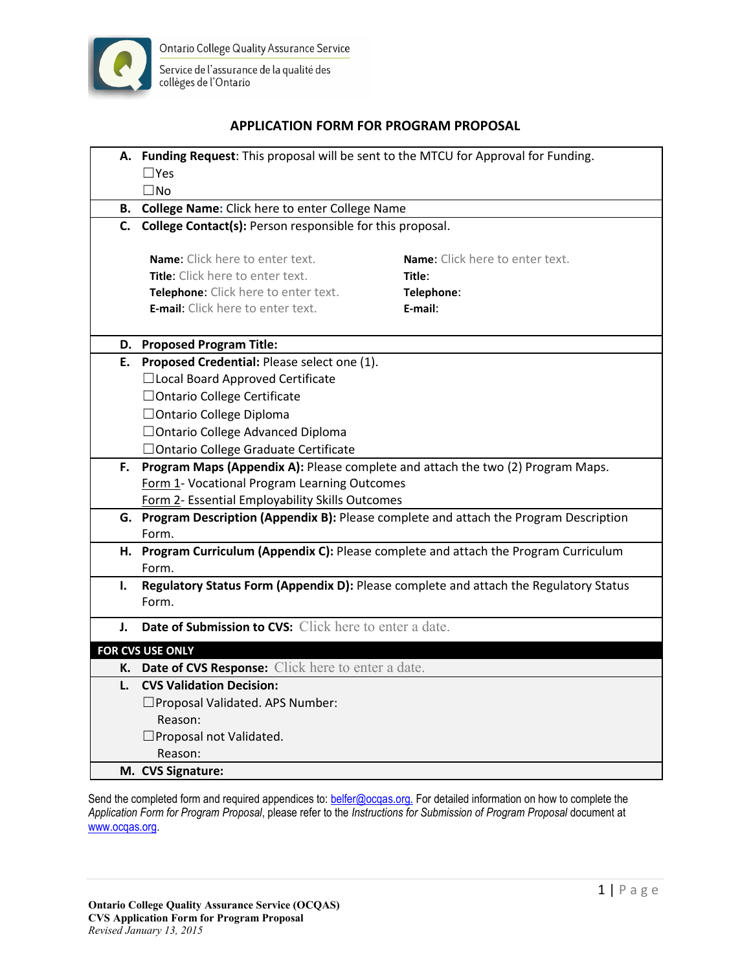

Service de l'assurance de la qualité des collèges de l'Ontario

## **APPLICATION FORM FOR PROGRAM PROPOSAL**

|    | A. Funding Request: This proposal will be sent to the MTCU for Approval for Funding.    |                                                                                       |  |
|----|-----------------------------------------------------------------------------------------|---------------------------------------------------------------------------------------|--|
|    | $\Box$ Yes                                                                              |                                                                                       |  |
|    | $\square$ No                                                                            |                                                                                       |  |
|    | B. College Name: Click here to enter College Name                                       |                                                                                       |  |
|    | C. College Contact(s): Person responsible for this proposal.                            |                                                                                       |  |
|    |                                                                                         |                                                                                       |  |
|    | <b>Name:</b> Click here to enter text.                                                  | Name: Click here to enter text.                                                       |  |
|    | Title: Click here to enter text.                                                        | Title:                                                                                |  |
|    | Telephone: Click here to enter text.                                                    | Telephone:                                                                            |  |
|    | E-mail: Click here to enter text.                                                       | E-mail:                                                                               |  |
|    | D. Proposed Program Title:                                                              |                                                                                       |  |
|    | E. Proposed Credential: Please select one (1).                                          |                                                                                       |  |
|    | □Local Board Approved Certificate                                                       |                                                                                       |  |
|    | □ Ontario College Certificate                                                           |                                                                                       |  |
|    | □ Ontario College Diploma                                                               |                                                                                       |  |
|    | □ Ontario College Advanced Diploma                                                      |                                                                                       |  |
|    | □ Ontario College Graduate Certificate                                                  |                                                                                       |  |
| F. | Program Maps (Appendix A): Please complete and attach the two (2) Program Maps.         |                                                                                       |  |
|    | Form 1- Vocational Program Learning Outcomes                                            |                                                                                       |  |
|    | Form 2- Essential Employability Skills Outcomes                                         |                                                                                       |  |
|    | G. Program Description (Appendix B): Please complete and attach the Program Description |                                                                                       |  |
|    | Form.                                                                                   |                                                                                       |  |
|    | H. Program Curriculum (Appendix C): Please complete and attach the Program Curriculum   |                                                                                       |  |
|    | Form.                                                                                   |                                                                                       |  |
| I. |                                                                                         | Regulatory Status Form (Appendix D): Please complete and attach the Regulatory Status |  |
|    | Form.                                                                                   |                                                                                       |  |
| J. | Date of Submission to CVS: Click here to enter a date.                                  |                                                                                       |  |
|    | <b>FOR CVS USE ONLY</b>                                                                 |                                                                                       |  |
|    | K. Date of CVS Response: Click here to enter a date.                                    |                                                                                       |  |
|    | L. CVS Validation Decision:                                                             |                                                                                       |  |
|    | □ Proposal Validated. APS Number:                                                       |                                                                                       |  |
|    | Reason:                                                                                 |                                                                                       |  |
|    | $\Box$ Proposal not Validated.                                                          |                                                                                       |  |
|    | Reason:                                                                                 |                                                                                       |  |
|    | M. CVS Signature:                                                                       |                                                                                       |  |

Send the completed form and required appendices to: **belfer@ocqas.org**. For detailed information on how to complete the *Application Form for Program Proposal*, please refer to the *Instructions for Submission of Program Proposal* document at [www.ocqas.org.](http://www.ocqas.org)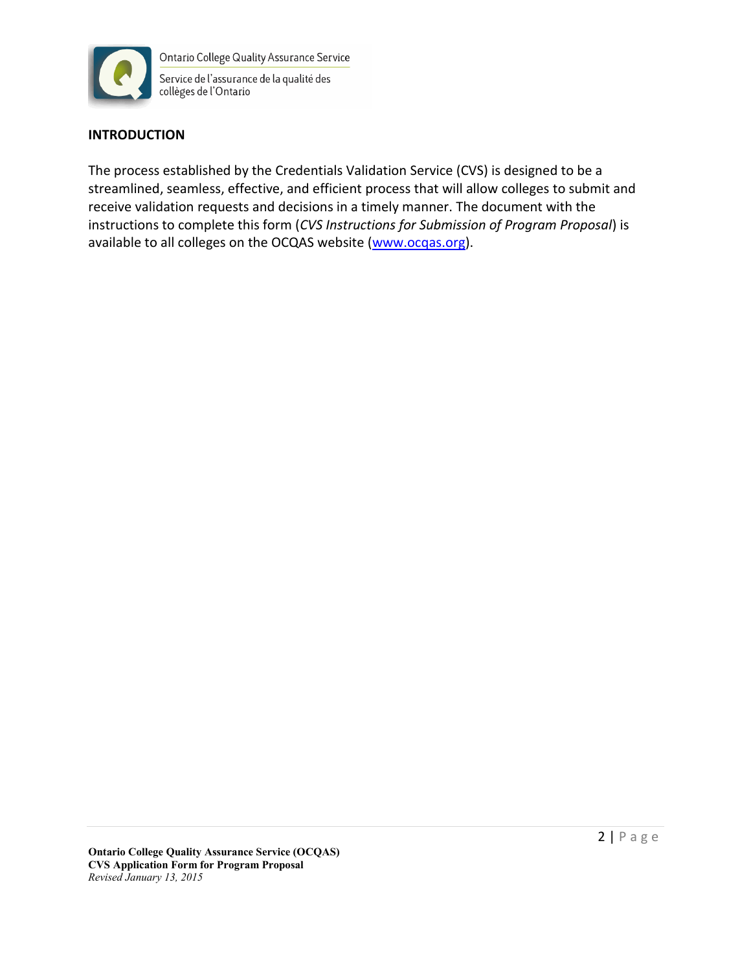

**Ontario College Quality Assurance Service** Service de l'assurance de la qualité des collèges de l'Ontario

# **INTRODUCTION**

The process established by the Credentials Validation Service (CVS) is designed to be a streamlined, seamless, effective, and efficient process that will allow colleges to submit and receive validation requests and decisions in a timely manner. The document with the instructions to complete this form (*CVS Instructions for Submission of Program Proposal*) is available to all colleges on the OCQAS website ([www.ocqas.org](http://www.ocqas.org)).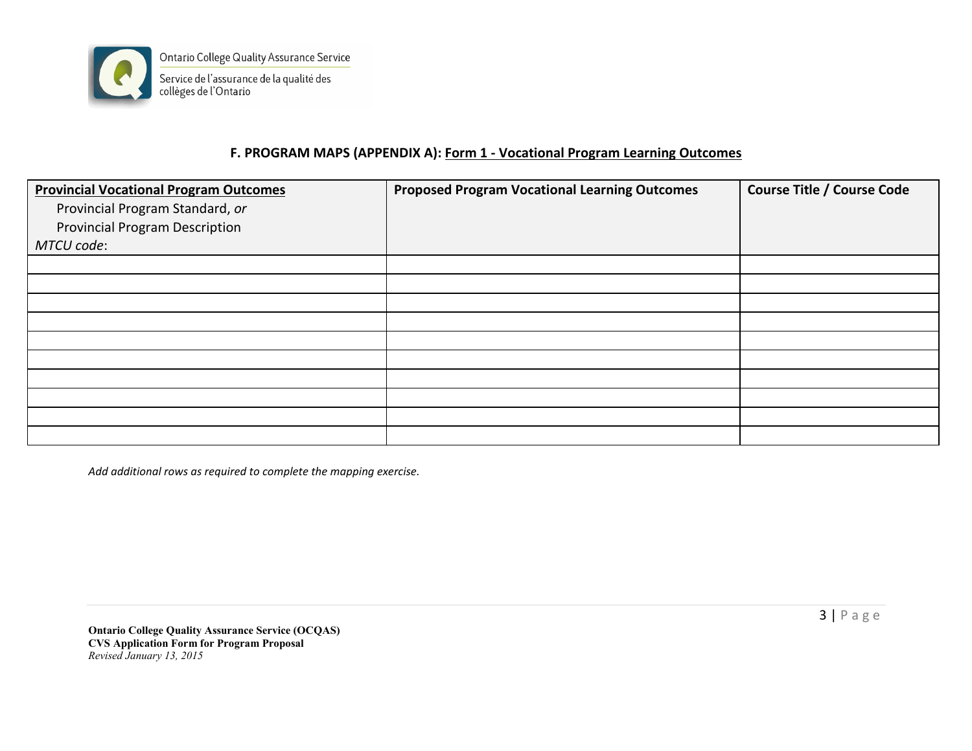

# **F. PROGRAM MAPS (APPENDIX A): Form 1 - Vocational Program Learning Outcomes**

| <b>Provincial Vocational Program Outcomes</b><br>Provincial Program Standard, or<br><b>Provincial Program Description</b><br>MTCU code: | <b>Proposed Program Vocational Learning Outcomes</b> | <b>Course Title / Course Code</b> |
|-----------------------------------------------------------------------------------------------------------------------------------------|------------------------------------------------------|-----------------------------------|
|                                                                                                                                         |                                                      |                                   |
|                                                                                                                                         |                                                      |                                   |
|                                                                                                                                         |                                                      |                                   |
|                                                                                                                                         |                                                      |                                   |
|                                                                                                                                         |                                                      |                                   |
|                                                                                                                                         |                                                      |                                   |
|                                                                                                                                         |                                                      |                                   |
|                                                                                                                                         |                                                      |                                   |
|                                                                                                                                         |                                                      |                                   |
|                                                                                                                                         |                                                      |                                   |

*Add additional rows as required to complete the mapping exercise.*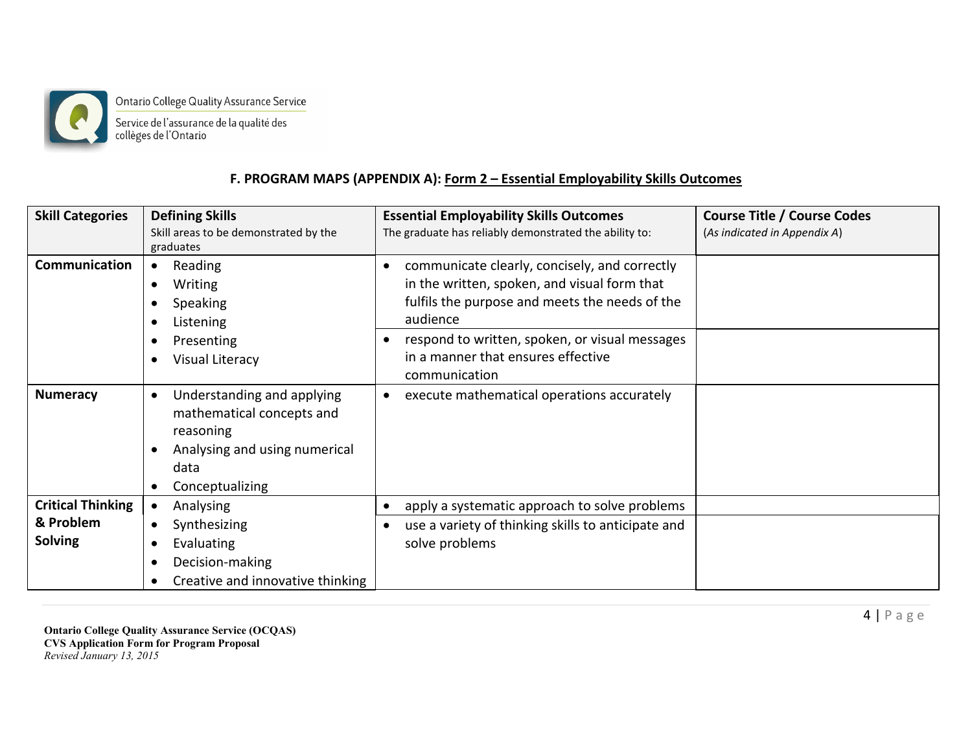

Ontario College Quality Assurance Service Service de l'assurance de la qualité des<br>collèges de l'Ontario

## **F. PROGRAM MAPS (APPENDIX A): Form 2 – Essential Employability Skills Outcomes**

| <b>Skill Categories</b>     | <b>Defining Skills</b><br>Skill areas to be demonstrated by the<br>graduates                                                                               | <b>Essential Employability Skills Outcomes</b><br>The graduate has reliably demonstrated the ability to:                                                                 | <b>Course Title / Course Codes</b><br>(As indicated in Appendix A) |
|-----------------------------|------------------------------------------------------------------------------------------------------------------------------------------------------------|--------------------------------------------------------------------------------------------------------------------------------------------------------------------------|--------------------------------------------------------------------|
| Communication               | Reading<br>$\bullet$<br><b>Writing</b><br>$\bullet$<br><b>Speaking</b><br>Listening<br>$\bullet$                                                           | communicate clearly, concisely, and correctly<br>$\bullet$<br>in the written, spoken, and visual form that<br>fulfils the purpose and meets the needs of the<br>audience |                                                                    |
|                             | Presenting<br>Visual Literacy<br>$\bullet$                                                                                                                 | respond to written, spoken, or visual messages<br>$\bullet$<br>in a manner that ensures effective<br>communication                                                       |                                                                    |
| <b>Numeracy</b>             | Understanding and applying<br>$\bullet$<br>mathematical concepts and<br>reasoning<br>Analysing and using numerical<br>data<br>Conceptualizing<br>$\bullet$ | execute mathematical operations accurately<br>$\bullet$                                                                                                                  |                                                                    |
| <b>Critical Thinking</b>    | Analysing<br>$\bullet$                                                                                                                                     | apply a systematic approach to solve problems<br>$\bullet$                                                                                                               |                                                                    |
| & Problem<br><b>Solving</b> | Synthesizing<br>$\bullet$<br>Evaluating<br>c<br>Decision-making<br>$\bullet$<br>Creative and innovative thinking<br>$\bullet$                              | use a variety of thinking skills to anticipate and<br>$\bullet$<br>solve problems                                                                                        |                                                                    |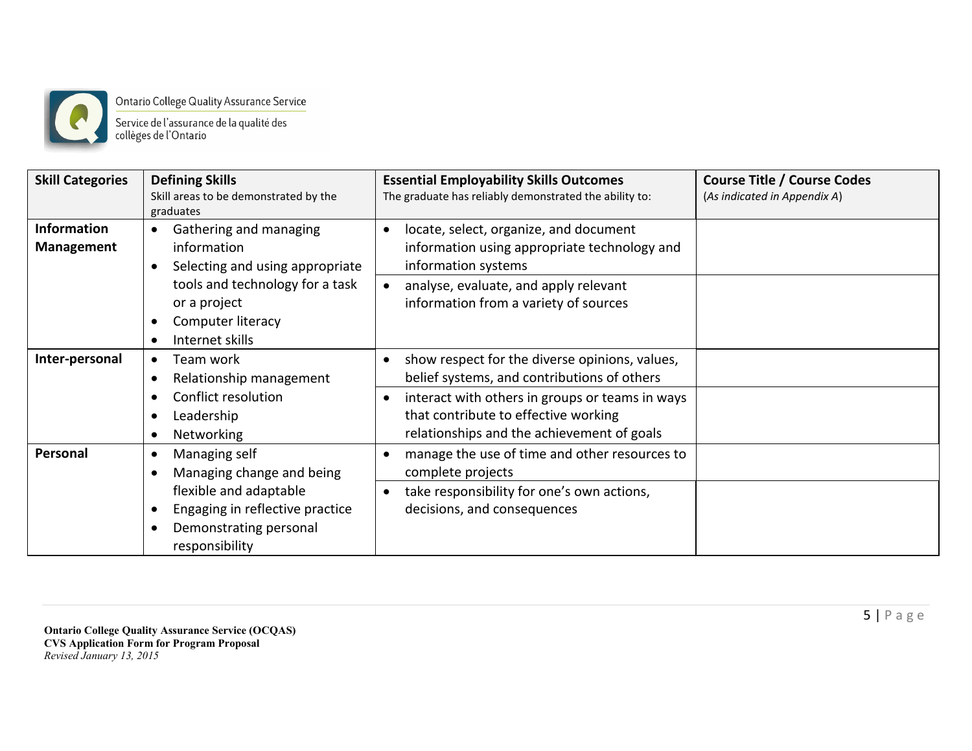

Ontario College Quality Assurance Service<br>Service de l'assurance de la qualité des<br>collèges de l'Ontario

| <b>Skill Categories</b> | <b>Defining Skills</b><br>Skill areas to be demonstrated by the | <b>Essential Employability Skills Outcomes</b><br>The graduate has reliably demonstrated the ability to: | <b>Course Title / Course Codes</b><br>(As indicated in Appendix A) |
|-------------------------|-----------------------------------------------------------------|----------------------------------------------------------------------------------------------------------|--------------------------------------------------------------------|
|                         | graduates                                                       |                                                                                                          |                                                                    |
| <b>Information</b>      | Gathering and managing<br>$\bullet$                             | locate, select, organize, and document<br>$\bullet$                                                      |                                                                    |
| <b>Management</b>       | information                                                     | information using appropriate technology and                                                             |                                                                    |
|                         | Selecting and using appropriate<br>$\bullet$                    | information systems                                                                                      |                                                                    |
|                         | tools and technology for a task                                 | analyse, evaluate, and apply relevant                                                                    |                                                                    |
|                         | or a project                                                    | information from a variety of sources                                                                    |                                                                    |
|                         | Computer literacy<br>$\bullet$                                  |                                                                                                          |                                                                    |
|                         | Internet skills                                                 |                                                                                                          |                                                                    |
| Inter-personal          | Team work<br>$\bullet$                                          | show respect for the diverse opinions, values,<br>$\bullet$                                              |                                                                    |
|                         | Relationship management<br>$\bullet$                            | belief systems, and contributions of others                                                              |                                                                    |
|                         | Conflict resolution                                             | interact with others in groups or teams in ways                                                          |                                                                    |
|                         | Leadership<br>$\bullet$                                         | that contribute to effective working                                                                     |                                                                    |
|                         | Networking<br>$\bullet$                                         | relationships and the achievement of goals                                                               |                                                                    |
| Personal                | Managing self<br>$\bullet$                                      | manage the use of time and other resources to                                                            |                                                                    |
|                         | Managing change and being                                       | complete projects                                                                                        |                                                                    |
|                         | flexible and adaptable                                          | take responsibility for one's own actions,                                                               |                                                                    |
|                         | Engaging in reflective practice<br>$\bullet$                    | decisions, and consequences                                                                              |                                                                    |
|                         | Demonstrating personal<br>$\bullet$                             |                                                                                                          |                                                                    |
|                         | responsibility                                                  |                                                                                                          |                                                                    |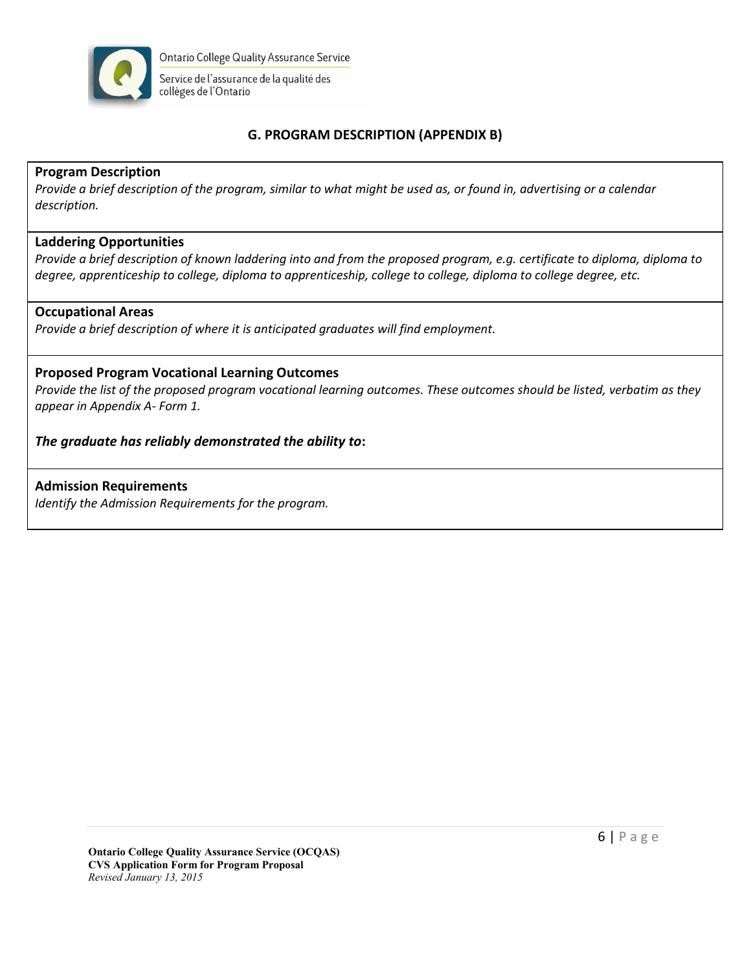

# **G. PROGRAM DESCRIPTION (APPENDIX B)**

### **Program Description**

*Provide a brief description of the program, similar to what might be used as, or found in, advertising or a calendar description.*

### **Laddering Opportunities**

*Provide a brief description of known laddering into and from the proposed program, e.g. certificate to diploma, diploma to degree, apprenticeship to college, diploma to apprenticeship, college to college, diploma to college degree, etc.*

#### **Occupational Areas**

*Provide a brief description of where it is anticipated graduates will find employment.*

### **Proposed Program Vocational Learning Outcomes**

*Provide the list of the proposed program vocational learning outcomes. These outcomes should be listed, verbatim as they appear in Appendix A- Form 1.*

### *The graduate has reliably demonstrated the ability to***:**

#### **Admission Requirements**

*Identify the Admission Requirements for the program.*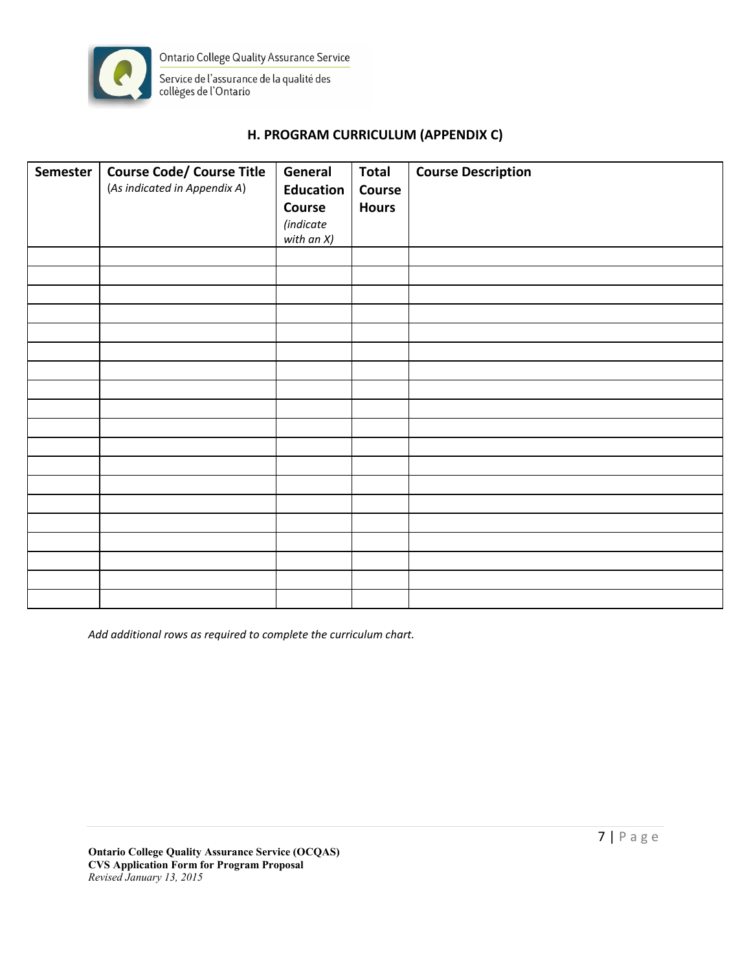

## **H. PROGRAM CURRICULUM (APPENDIX C)**

| <b>Semester</b> | <b>Course Code/ Course Title</b> | General          | <b>Total</b> | <b>Course Description</b> |
|-----------------|----------------------------------|------------------|--------------|---------------------------|
|                 | (As indicated in Appendix A)     | <b>Education</b> | Course       |                           |
|                 |                                  | Course           | <b>Hours</b> |                           |
|                 |                                  | (indicate        |              |                           |
|                 |                                  | with an $X$ )    |              |                           |
|                 |                                  |                  |              |                           |
|                 |                                  |                  |              |                           |
|                 |                                  |                  |              |                           |
|                 |                                  |                  |              |                           |
|                 |                                  |                  |              |                           |
|                 |                                  |                  |              |                           |
|                 |                                  |                  |              |                           |
|                 |                                  |                  |              |                           |
|                 |                                  |                  |              |                           |
|                 |                                  |                  |              |                           |
|                 |                                  |                  |              |                           |
|                 |                                  |                  |              |                           |
|                 |                                  |                  |              |                           |
|                 |                                  |                  |              |                           |
|                 |                                  |                  |              |                           |
|                 |                                  |                  |              |                           |
|                 |                                  |                  |              |                           |
|                 |                                  |                  |              |                           |
|                 |                                  |                  |              |                           |

*Add additional rows as required to complete the curriculum chart.*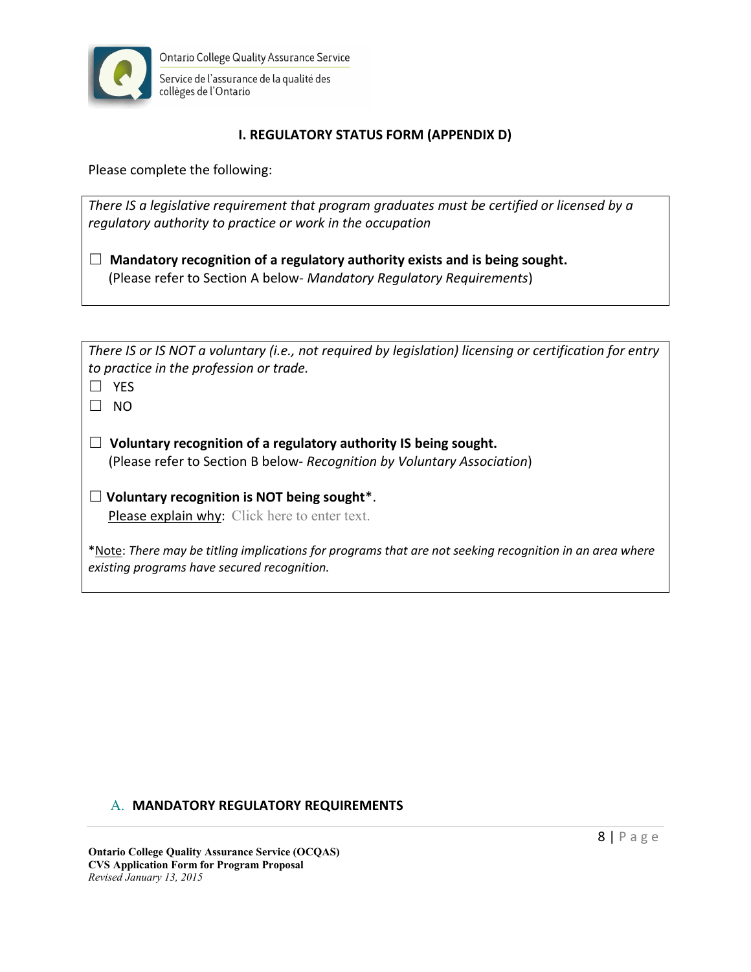

## **I. REGULATORY STATUS FORM (APPENDIX D)**

Please complete the following:

*There IS a legislative requirement that program graduates must be certified or licensed by a regulatory authority to practice or work in the occupation*

• **Mandatory recognition of a regulatory authority exists and is being sought.** (Please refer to Section A below- *Mandatory Regulatory Requirements*)

| There IS or IS NOT a voluntary (i.e., not required by legislation) licensing or certification for entry |
|---------------------------------------------------------------------------------------------------------|
| to practice in the profession or trade.                                                                 |
| $\Box$ YES                                                                                              |

 $\square$  NO

• **Voluntary recognition of a regulatory authority IS being sought.**  (Please refer to Section B below- *Recognition by Voluntary Association*)

<span id="page-7-1"></span>• **Voluntary recognition is NOT being sought**[\\*.](#page-7-0) Please explain why: Click here to enter text.

<span id="page-7-0"></span>[\\*N](#page-7-1)ote: *There may be titling implications for programs that are not seeking recognition in an area where existing programs have secured recognition.*

### A. **MANDATORY REGULATORY REQUIREMENTS**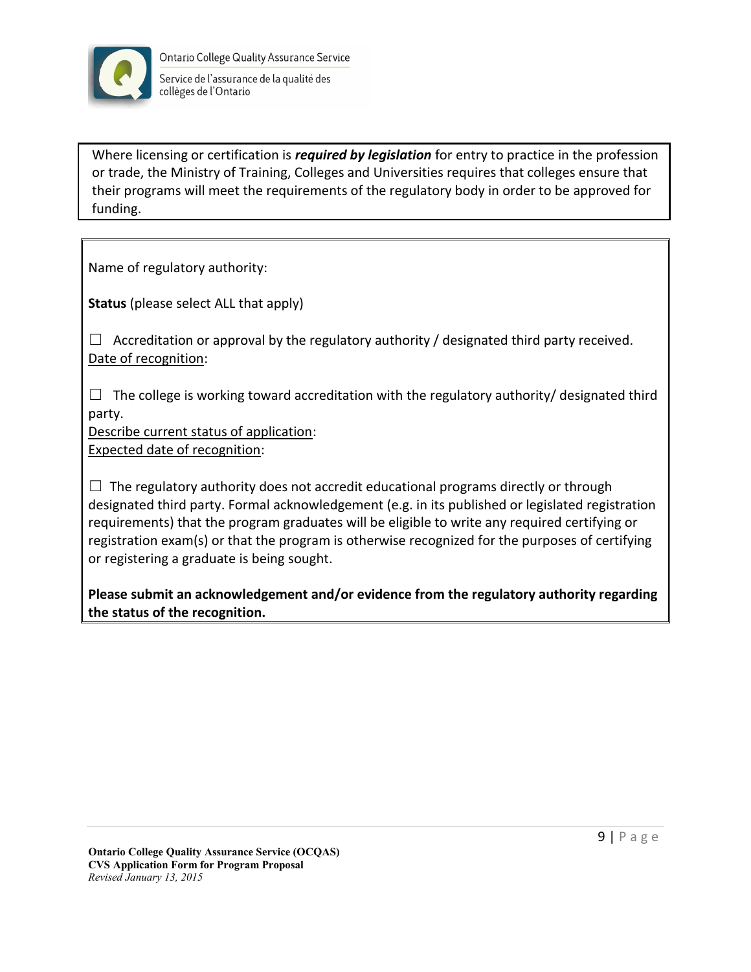

Where licensing or certification is *required by legislation* for entry to practice in the profession or trade, the Ministry of Training, Colleges and Universities requires that colleges ensure that their programs will meet the requirements of the regulatory body in order to be approved for funding.

Name of regulatory authority:

**Status** (please select ALL that apply)

 $\Box$  Accreditation or approval by the regulatory authority / designated third party received. Date of recognition:

 $\Box$  The college is working toward accreditation with the regulatory authority/ designated third party.

Describe current status of application:

Expected date of recognition:

 $\Box$  The regulatory authority does not accredit educational programs directly or through designated third party. Formal acknowledgement (e.g. in its published or legislated registration requirements) that the program graduates will be eligible to write any required certifying or registration exam(s) or that the program is otherwise recognized for the purposes of certifying or registering a graduate is being sought.

**Please submit an acknowledgement and/or evidence from the regulatory authority regarding the status of the recognition.**